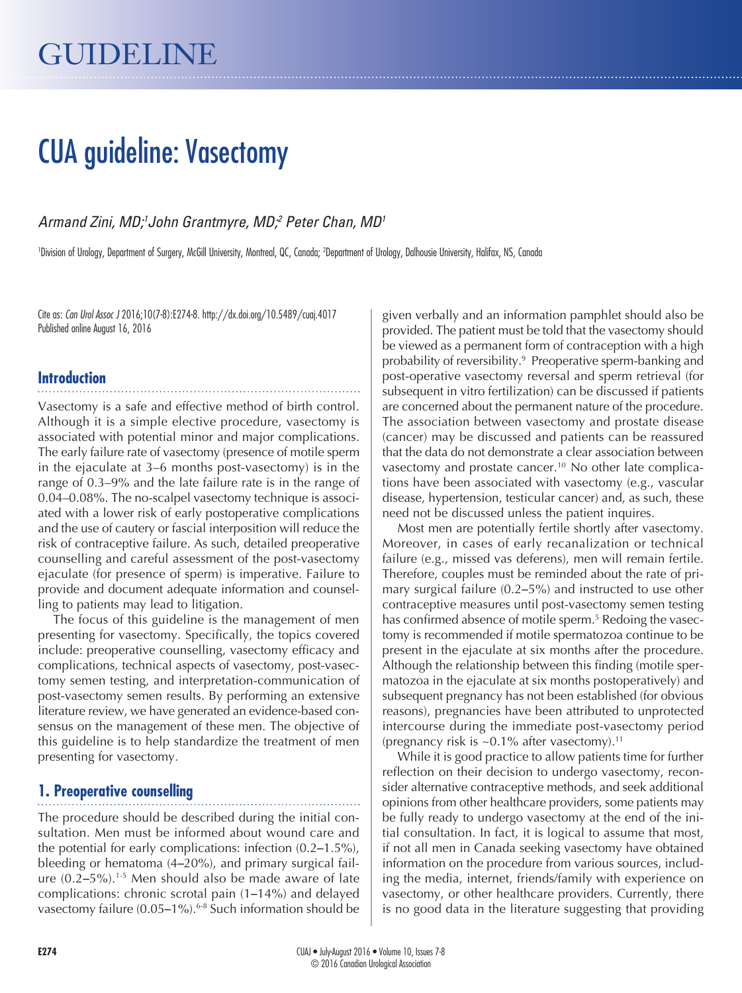# CUA guideline: Vasectomy

# *Armand Zini, MD;1 John Grantmyre, MD;2 Peter Chan, MD1*

<sup>1</sup>Division of Urology, Department of Surgery, McGill University, Montreal, QC, Canada; <sup>2</sup>Department of Urology, Dalhousie University, Halifax, NS, Canada

Cite as: *Can Urol Assoc J* 2016;10(7-8):E274-8. http://dx.doi.org/10.5489/cuaj.4017 Published online August 16, 2016

## **Introduction**

Vasectomy is a safe and effective method of birth control. Although it is a simple elective procedure, vasectomy is associated with potential minor and major complications. The early failure rate of vasectomy (presence of motile sperm in the ejaculate at 3–6 months post-vasectomy) is in the range of 0.3–9% and the late failure rate is in the range of 0.04–0.08%. The no-scalpel vasectomy technique is associated with a lower risk of early postoperative complications and the use of cautery or fascial interposition will reduce the risk of contraceptive failure. As such, detailed preoperative counselling and careful assessment of the post-vasectomy ejaculate (for presence of sperm) is imperative. Failure to provide and document adequate information and counselling to patients may lead to litigation.

The focus of this guideline is the management of men presenting for vasectomy. Specifically, the topics covered include: preoperative counselling, vasectomy efficacy and complications, technical aspects of vasectomy, post-vasectomy semen testing, and interpretation-communication of post-vasectomy semen results. By performing an extensive literature review, we have generated an evidence-based consensus on the management of these men. The objective of this guideline is to help standardize the treatment of men presenting for vasectomy.

# **1. Preoperative counselling**

The procedure should be described during the initial consultation. Men must be informed about wound care and the potential for early complications: infection (0.2*‒*1.5%), bleeding or hematoma (4*‒*20%), and primary surgical failure (0.2*‒*5%).1-5 Men should also be made aware of late complications: chronic scrotal pain (1*‒*14%) and delayed vasectomy failure (0.05-1%).<sup>6-8</sup> Such information should be given verbally and an information pamphlet should also be provided. The patient must be told that the vasectomy should be viewed as a permanent form of contraception with a high probability of reversibility.9 Preoperative sperm-banking and post-operative vasectomy reversal and sperm retrieval (for subsequent in vitro fertilization) can be discussed if patients are concerned about the permanent nature of the procedure. The association between vasectomy and prostate disease (cancer) may be discussed and patients can be reassured that the data do not demonstrate a clear association between vasectomy and prostate cancer.<sup>10</sup> No other late complications have been associated with vasectomy (e.g., vascular disease, hypertension, testicular cancer) and, as such, these need not be discussed unless the patient inquires.

Most men are potentially fertile shortly after vasectomy. Moreover, in cases of early recanalization or technical failure (e.g., missed vas deferens), men will remain fertile. Therefore, couples must be reminded about the rate of primary surgical failure (0.2*‒*5%) and instructed to use other contraceptive measures until post-vasectomy semen testing has confirmed absence of motile sperm.<sup>5</sup> Redoing the vasectomy is recommended if motile spermatozoa continue to be present in the ejaculate at six months after the procedure. Although the relationship between this finding (motile spermatozoa in the ejaculate at six months postoperatively) and subsequent pregnancy has not been established (for obvious reasons), pregnancies have been attributed to unprotected intercourse during the immediate post-vasectomy period (pregnancy risk is  $\sim 0.1\%$  after vasectomy).<sup>11</sup>

While it is good practice to allow patients time for further reflection on their decision to undergo vasectomy, reconsider alternative contraceptive methods, and seek additional opinions from other healthcare providers, some patients may be fully ready to undergo vasectomy at the end of the initial consultation. In fact, it is logical to assume that most, if not all men in Canada seeking vasectomy have obtained information on the procedure from various sources, including the media, internet, friends/family with experience on vasectomy, or other healthcare providers. Currently, there is no good data in the literature suggesting that providing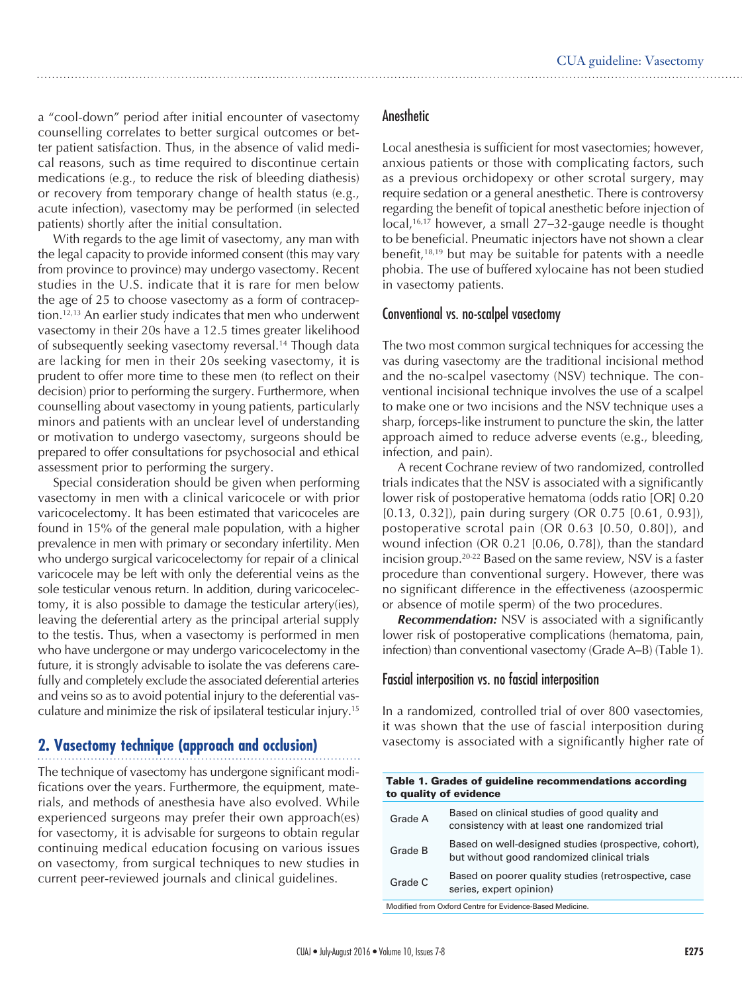a "cool-down" period after initial encounter of vasectomy counselling correlates to better surgical outcomes or better patient satisfaction. Thus, in the absence of valid medical reasons, such as time required to discontinue certain medications (e.g., to reduce the risk of bleeding diathesis) or recovery from temporary change of health status (e.g., acute infection), vasectomy may be performed (in selected patients) shortly after the initial consultation.

With regards to the age limit of vasectomy, any man with the legal capacity to provide informed consent (this may vary from province to province) may undergo vasectomy. Recent studies in the U.S. indicate that it is rare for men below the age of 25 to choose vasectomy as a form of contraception.12,13 An earlier study indicates that men who underwent vasectomy in their 20s have a 12.5 times greater likelihood of subsequently seeking vasectomy reversal.14 Though data are lacking for men in their 20s seeking vasectomy, it is prudent to offer more time to these men (to reflect on their decision) prior to performing the surgery. Furthermore, when counselling about vasectomy in young patients, particularly minors and patients with an unclear level of understanding or motivation to undergo vasectomy, surgeons should be prepared to offer consultations for psychosocial and ethical assessment prior to performing the surgery.

Special consideration should be given when performing vasectomy in men with a clinical varicocele or with prior varicocelectomy. It has been estimated that varicoceles are found in 15% of the general male population, with a higher prevalence in men with primary or secondary infertility. Men who undergo surgical varicocelectomy for repair of a clinical varicocele may be left with only the deferential veins as the sole testicular venous return. In addition, during varicocelectomy, it is also possible to damage the testicular artery(ies), leaving the deferential artery as the principal arterial supply to the testis. Thus, when a vasectomy is performed in men who have undergone or may undergo varicocelectomy in the future, it is strongly advisable to isolate the vas deferens carefully and completely exclude the associated deferential arteries and veins so as to avoid potential injury to the deferential vasculature and minimize the risk of ipsilateral testicular injury.15

# **2. Vasectomy technique (approach and occlusion)**

The technique of vasectomy has undergone significant modifications over the years. Furthermore, the equipment, materials, and methods of anesthesia have also evolved. While experienced surgeons may prefer their own approach(es) for vasectomy, it is advisable for surgeons to obtain regular continuing medical education focusing on various issues on vasectomy, from surgical techniques to new studies in current peer-reviewed journals and clinical guidelines.

# Anesthetic

Local anesthesia is sufficient for most vasectomies; however, anxious patients or those with complicating factors, such as a previous orchidopexy or other scrotal surgery, may require sedation or a general anesthetic. There is controversy regarding the benefit of topical anesthetic before injection of local,<sup>16,17</sup> however, a small 27–32-gauge needle is thought to be beneficial. Pneumatic injectors have not shown a clear benefit,18,19 but may be suitable for patents with a needle phobia. The use of buffered xylocaine has not been studied in vasectomy patients.

## Conventional vs. no-scalpel vasectomy

The two most common surgical techniques for accessing the vas during vasectomy are the traditional incisional method and the no-scalpel vasectomy (NSV) technique. The conventional incisional technique involves the use of a scalpel to make one or two incisions and the NSV technique uses a sharp, forceps-like instrument to puncture the skin, the latter approach aimed to reduce adverse events (e.g., bleeding, infection, and pain).

A recent Cochrane review of two randomized, controlled trials indicates that the NSV is associated with a significantly lower risk of postoperative hematoma (odds ratio [OR] 0.20 [0.13, 0.32]), pain during surgery (OR 0.75 [0.61, 0.93]), postoperative scrotal pain (OR 0.63 [0.50, 0.80]), and wound infection (OR 0.21 [0.06, 0.78]), than the standard incision group.20-22 Based on the same review, NSV is a faster procedure than conventional surgery. However, there was no significant difference in the effectiveness (azoospermic or absence of motile sperm) of the two procedures.

*Recommendation:* NSV is associated with a significantly lower risk of postoperative complications (hematoma, pain, infection) than conventional vasectomy (Grade A*‒*B) (Table 1).

# Fascial interposition vs. no fascial interposition

In a randomized, controlled trial of over 800 vasectomies, it was shown that the use of fascial interposition during vasectomy is associated with a significantly higher rate of

Table 1. Grades of guideline recommendations according

| to quality of evidence                                                                                                                                                                                                                                                                                                                    |                                                                                                      |
|-------------------------------------------------------------------------------------------------------------------------------------------------------------------------------------------------------------------------------------------------------------------------------------------------------------------------------------------|------------------------------------------------------------------------------------------------------|
| Grade A                                                                                                                                                                                                                                                                                                                                   | Based on clinical studies of good quality and<br>consistency with at least one randomized trial      |
| Grade B                                                                                                                                                                                                                                                                                                                                   | Based on well-designed studies (prospective, cohort),<br>but without good randomized clinical trials |
| Grade C                                                                                                                                                                                                                                                                                                                                   | Based on poorer quality studies (retrospective, case<br>series, expert opinion)                      |
| $\mathbf{a}$ , $\mathbf{b}$ , $\mathbf{c}$ , $\mathbf{c}$ , $\mathbf{c}$ , $\mathbf{c}$ , $\mathbf{c}$ , $\mathbf{c}$ , $\mathbf{c}$ , $\mathbf{c}$ , $\mathbf{c}$ , $\mathbf{c}$ , $\mathbf{c}$ , $\mathbf{c}$ , $\mathbf{c}$ , $\mathbf{c}$ , $\mathbf{c}$ , $\mathbf{c}$ , $\mathbf{c}$ , $\mathbf{c}$ , $\mathbf{c}$ , $\mathbf{c}$ , |                                                                                                      |

Modified from Oxford Centre for Evidence-Based Medicine.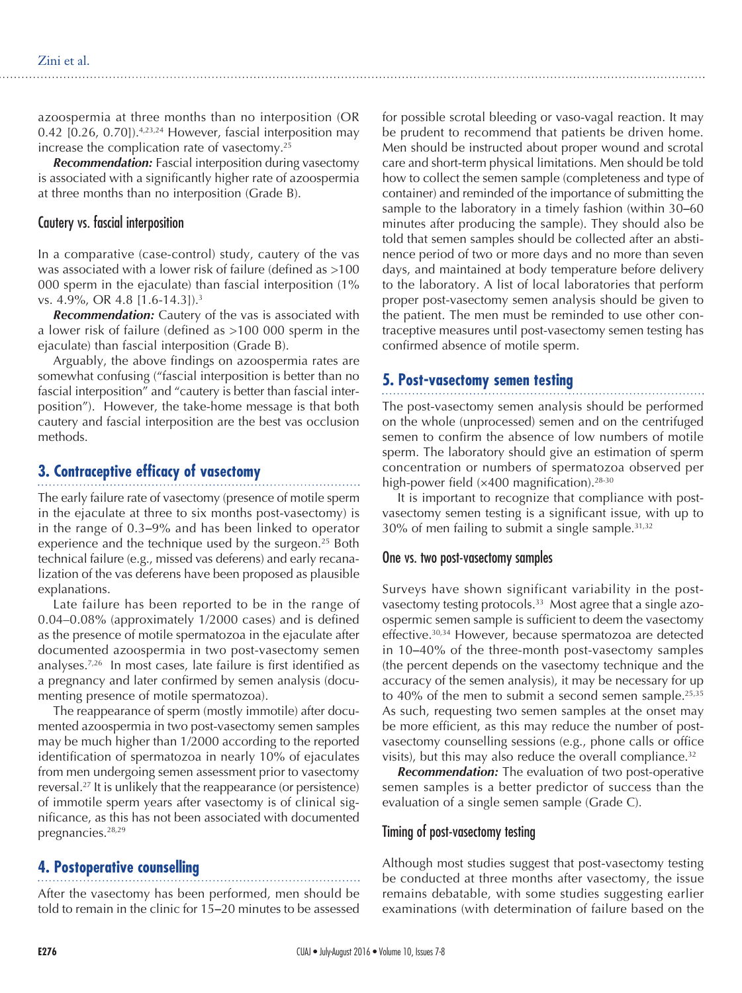azoospermia at three months than no interposition (OR 0.42  $[0.26, 0.70]$ ).<sup>4,23,24</sup> However, fascial interposition may increase the complication rate of vasectomy.25

*Recommendation:* Fascial interposition during vasectomy is associated with a significantly higher rate of azoospermia at three months than no interposition (Grade B).

#### Cautery vs. fascial interposition

In a comparative (case-control) study, cautery of the vas was associated with a lower risk of failure (defined as >100 000 sperm in the ejaculate) than fascial interposition (1% vs. 4.9%, OR 4.8 [1.6-14.3]).3

*Recommendation:* Cautery of the vas is associated with a lower risk of failure (defined as >100 000 sperm in the ejaculate) than fascial interposition (Grade B).

Arguably, the above findings on azoospermia rates are somewhat confusing ("fascial interposition is better than no fascial interposition" and "cautery is better than fascial interposition"). However, the take-home message is that both cautery and fascial interposition are the best vas occlusion methods.

## **3. Contraceptive efficacy of vasectomy**

The early failure rate of vasectomy (presence of motile sperm in the ejaculate at three to six months post-vasectomy) is in the range of 0.3*‒*9% and has been linked to operator experience and the technique used by the surgeon.<sup>25</sup> Both technical failure (e.g., missed vas deferens) and early recanalization of the vas deferens have been proposed as plausible explanations.

Late failure has been reported to be in the range of 0.04–0.08% (approximately 1/2000 cases) and is defined as the presence of motile spermatozoa in the ejaculate after documented azoospermia in two post-vasectomy semen analyses.7,26 In most cases, late failure is first identified as a pregnancy and later confirmed by semen analysis (documenting presence of motile spermatozoa).

The reappearance of sperm (mostly immotile) after documented azoospermia in two post-vasectomy semen samples may be much higher than 1/2000 according to the reported identification of spermatozoa in nearly 10% of ejaculates from men undergoing semen assessment prior to vasectomy reversal.27 It is unlikely that the reappearance (or persistence) of immotile sperm years after vasectomy is of clinical significance, as this has not been associated with documented pregnancies.28,29

#### **4. Postoperative counselling**

After the vasectomy has been performed, men should be told to remain in the clinic for 15*‒*20 minutes to be assessed

for possible scrotal bleeding or vaso-vagal reaction. It may be prudent to recommend that patients be driven home. Men should be instructed about proper wound and scrotal care and short-term physical limitations. Men should be told how to collect the semen sample (completeness and type of container) and reminded of the importance of submitting the sample to the laboratory in a timely fashion (within 30*‒*60 minutes after producing the sample). They should also be told that semen samples should be collected after an abstinence period of two or more days and no more than seven days, and maintained at body temperature before delivery to the laboratory. A list of local laboratories that perform proper post-vasectomy semen analysis should be given to the patient. The men must be reminded to use other contraceptive measures until post-vasectomy semen testing has confirmed absence of motile sperm.

#### **5. Post-vasectomy semen testing**

The post-vasectomy semen analysis should be performed on the whole (unprocessed) semen and on the centrifuged semen to confirm the absence of low numbers of motile sperm. The laboratory should give an estimation of sperm concentration or numbers of spermatozoa observed per high-power field  $(x400$  magnification).<sup>28-30</sup>

It is important to recognize that compliance with postvasectomy semen testing is a significant issue, with up to  $30\%$  of men failing to submit a single sample.<sup>31,32</sup>

#### One vs. two post-vasectomy samples

Surveys have shown significant variability in the postvasectomy testing protocols.<sup>33</sup> Most agree that a single azoospermic semen sample is sufficient to deem the vasectomy effective.30,34 However, because spermatozoa are detected in 10*‒*40% of the three-month post-vasectomy samples (the percent depends on the vasectomy technique and the accuracy of the semen analysis), it may be necessary for up to 40% of the men to submit a second semen sample.<sup>25,35</sup> As such, requesting two semen samples at the onset may be more efficient, as this may reduce the number of postvasectomy counselling sessions (e.g., phone calls or office visits), but this may also reduce the overall compliance.<sup>32</sup>

*Recommendation:* The evaluation of two post-operative semen samples is a better predictor of success than the evaluation of a single semen sample (Grade C).

#### Timing of post-vasectomy testing

Although most studies suggest that post-vasectomy testing be conducted at three months after vasectomy, the issue remains debatable, with some studies suggesting earlier examinations (with determination of failure based on the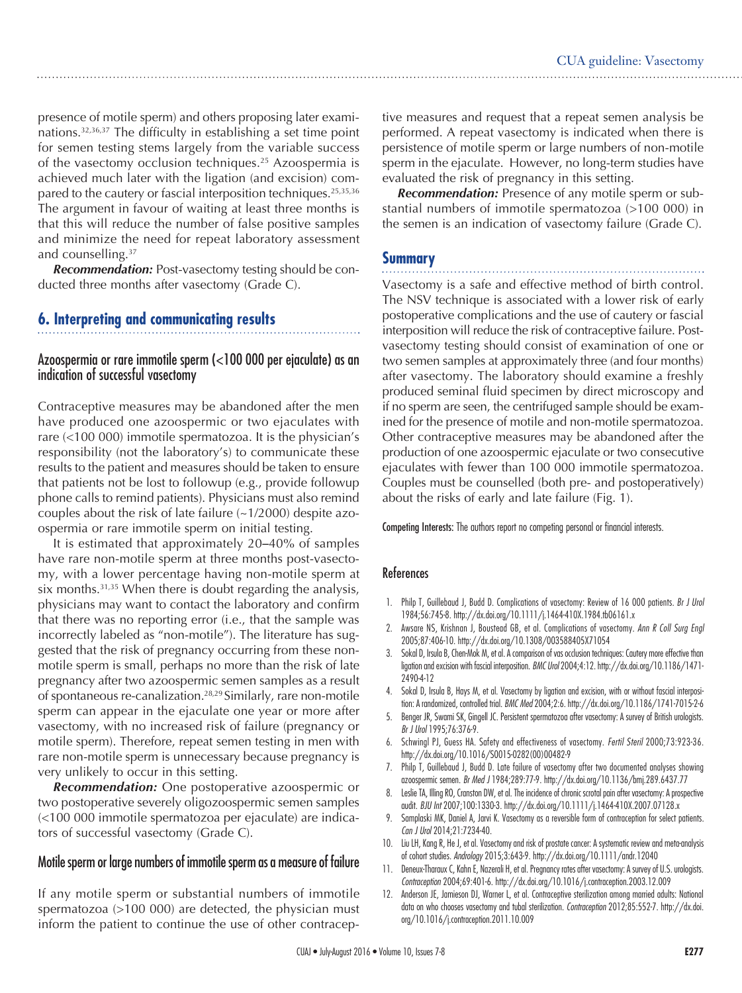presence of motile sperm) and others proposing later examinations.32,36,37 The difficulty in establishing a set time point for semen testing stems largely from the variable success of the vasectomy occlusion techniques.<sup>25</sup> Azoospermia is achieved much later with the ligation (and excision) compared to the cautery or fascial interposition techniques.<sup>25,35,36</sup> The argument in favour of waiting at least three months is that this will reduce the number of false positive samples and minimize the need for repeat laboratory assessment and counselling.37

*Recommendation:* Post-vasectomy testing should be conducted three months after vasectomy (Grade C).

# **6. Interpreting and communicating results**

## Azoospermia or rare immotile sperm (<100 000 per ejaculate) as an indication of successful vasectomy

Contraceptive measures may be abandoned after the men have produced one azoospermic or two ejaculates with rare (<100 000) immotile spermatozoa. It is the physician's responsibility (not the laboratory's) to communicate these results to the patient and measures should be taken to ensure that patients not be lost to followup (e.g., provide followup phone calls to remind patients). Physicians must also remind couples about the risk of late failure  $(-1/2000)$  despite azoospermia or rare immotile sperm on initial testing.

It is estimated that approximately 20*‒*40% of samples have rare non-motile sperm at three months post-vasectomy, with a lower percentage having non-motile sperm at six months.<sup>31,35</sup> When there is doubt regarding the analysis, physicians may want to contact the laboratory and confirm that there was no reporting error (i.e., that the sample was incorrectly labeled as "non-motile"). The literature has suggested that the risk of pregnancy occurring from these nonmotile sperm is small, perhaps no more than the risk of late pregnancy after two azoospermic semen samples as a result of spontaneous re-canalization.28,29 Similarly, rare non-motile sperm can appear in the ejaculate one year or more after vasectomy, with no increased risk of failure (pregnancy or motile sperm). Therefore, repeat semen testing in men with rare non-motile sperm is unnecessary because pregnancy is very unlikely to occur in this setting.

*Recommendation:* One postoperative azoospermic or two postoperative severely oligozoospermic semen samples (<100 000 immotile spermatozoa per ejaculate) are indicators of successful vasectomy (Grade C).

### Motile sperm or large numbers of immotile sperm as a measure of failure

If any motile sperm or substantial numbers of immotile spermatozoa (>100 000) are detected, the physician must inform the patient to continue the use of other contracep-

tive measures and request that a repeat semen analysis be performed. A repeat vasectomy is indicated when there is persistence of motile sperm or large numbers of non-motile sperm in the ejaculate. However, no long-term studies have evaluated the risk of pregnancy in this setting.

*Recommendation:* Presence of any motile sperm or substantial numbers of immotile spermatozoa (>100 000) in the semen is an indication of vasectomy failure (Grade C).

## **Summary**

Vasectomy is a safe and effective method of birth control. The NSV technique is associated with a lower risk of early postoperative complications and the use of cautery or fascial interposition will reduce the risk of contraceptive failure. Postvasectomy testing should consist of examination of one or two semen samples at approximately three (and four months) after vasectomy. The laboratory should examine a freshly produced seminal fluid specimen by direct microscopy and if no sperm are seen, the centrifuged sample should be examined for the presence of motile and non-motile spermatozoa. Other contraceptive measures may be abandoned after the production of one azoospermic ejaculate or two consecutive ejaculates with fewer than 100 000 immotile spermatozoa. Couples must be counselled (both pre- and postoperatively) about the risks of early and late failure (Fig. 1).

Competing Interests: The authors report no competing personal or financial interests.

#### References

- 1. Philp T, Guillebaud J, Budd D. Complications of vasectomy: Review of 16 000 patients. *Br J Urol*  1984;56:745-8. http://dx.doi.org/10.1111/j.1464-410X.1984.tb06161.x
- 2. Awsare NS, Krishnan J, Boustead GB, et al. Complications of vasectomy. *Ann R Coll Surg Engl* 2005;87:406-10. http://dx.doi.org/10.1308/003588405X71054
- 3. Sokal D, Irsula B, Chen-Mok M, et al. A comparison of vas occlusion techniques: Cautery more effective than ligation and excision with fascial interposition. *BMC Urol* 2004;4:12. http://dx.doi.org/10.1186/1471- 2490-4-12
- 4. Sokal D, Irsula B, Hays M, et al. Vasectomy by ligation and excision, with or without fascial interposition: A randomized, controlled trial. *BMC Med* 2004;2:6. http://dx.doi.org/10.1186/1741-7015-2-6
- 5. Benger JR, Swami SK, Gingell JC. Persistent spermatozoa after vasectomy: A survey of British urologists. *Br J Urol* 1995;76:376-9.
- 6. Schwingl PJ, Guess HA. Safety and effectiveness of vasectomy. *Fertil Steril* 2000;73:923-36. http://dx.doi.org/10.1016/S0015-0282(00)00482-9
- 7. Philp T, Guillebaud J, Budd D. Late failure of vasectomy after two documented analyses showing azoospermic semen. *Br Med J* 1984;289:77-9. http://dx.doi.org/10.1136/bmj.289.6437.77
- 8. Leslie TA, Illing RO, Cranston DW, et al. The incidence of chronic scrotal pain after vasectomy: A prospective audit. *BJU Int* 2007;100:1330-3. http://dx.doi.org/10.1111/j.1464-410X.2007.07128.x
- 9. Samplaski MK, Daniel A, Jarvi K. Vasectomy as a reversible form of contraception for select patients. *Can J Urol* 2014;21:7234-40.
- 10. Liu LH, Kang R, He J, et al. Vasectomy and risk of prostate cancer: A systematic review and meta-analysis of cohort studies. *Andrology* 2015;3:643-9. http://dx.doi.org/10.1111/andr.12040
- 11. Deneux-Tharaux C, Kahn E, Nazerali H, et al. Pregnancy rates after vasectomy: A survey of U.S. urologists. *Contraception* 2004;69:401-6. http://dx.doi.org/10.1016/j.contraception.2003.12.009
- 12. Anderson JE, Jamieson DJ, Warner L, et al. Contraceptive sterilization among married adults: National data on who chooses vasectomy and tubal sterilization. *Contraception* 2012;85:552-7. http://dx.doi. org/10.1016/j.contraception.2011.10.009